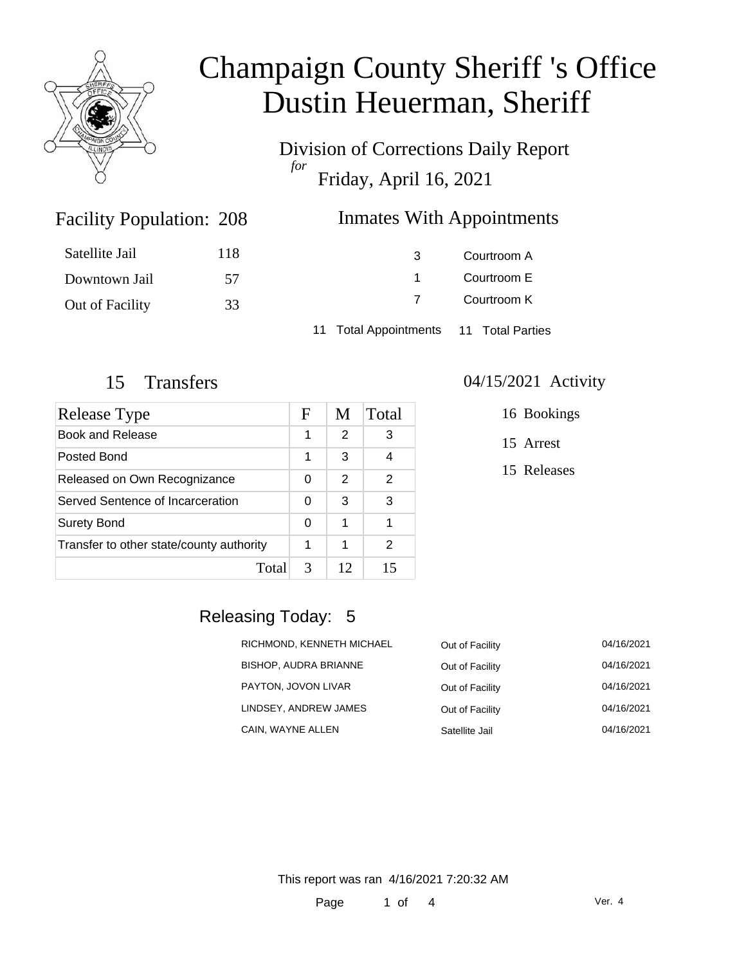

Division of Corrections Daily Report *for* Friday, April 16, 2021

### Inmates With Appointments

| Satellite Jail  | 118 |                                        | Courtroom A |  |
|-----------------|-----|----------------------------------------|-------------|--|
| Downtown Jail   | 57  |                                        | Courtroom E |  |
| Out of Facility | 33  |                                        | Courtroom K |  |
|                 |     | 11 Total Appointments 11 Total Parties |             |  |

Facility Population: 208

| <b>Release Type</b>                      |   | M  | Total |
|------------------------------------------|---|----|-------|
| <b>Book and Release</b>                  | 1 | 2  | 3     |
| Posted Bond                              | 1 | 3  |       |
| Released on Own Recognizance             |   | 2  | 2     |
| Served Sentence of Incarceration         |   | 3  | 3     |
| <b>Surety Bond</b>                       |   | 1  |       |
| Transfer to other state/county authority | 1 | 1  | 2     |
| Total                                    | 3 | 12 | 15    |

#### 15 Transfers 04/15/2021 Activity

16 Bookings

15 Arrest

15 Releases

## Releasing Today: 5

| RICHMOND, KENNETH MICHAEL    | Out of Facility | 04/16/2021 |
|------------------------------|-----------------|------------|
| <b>BISHOP, AUDRA BRIANNE</b> | Out of Facility | 04/16/2021 |
| PAYTON, JOVON LIVAR          | Out of Facility | 04/16/2021 |
| LINDSEY, ANDREW JAMES        | Out of Facility | 04/16/2021 |
| CAIN, WAYNE ALLEN            | Satellite Jail  | 04/16/2021 |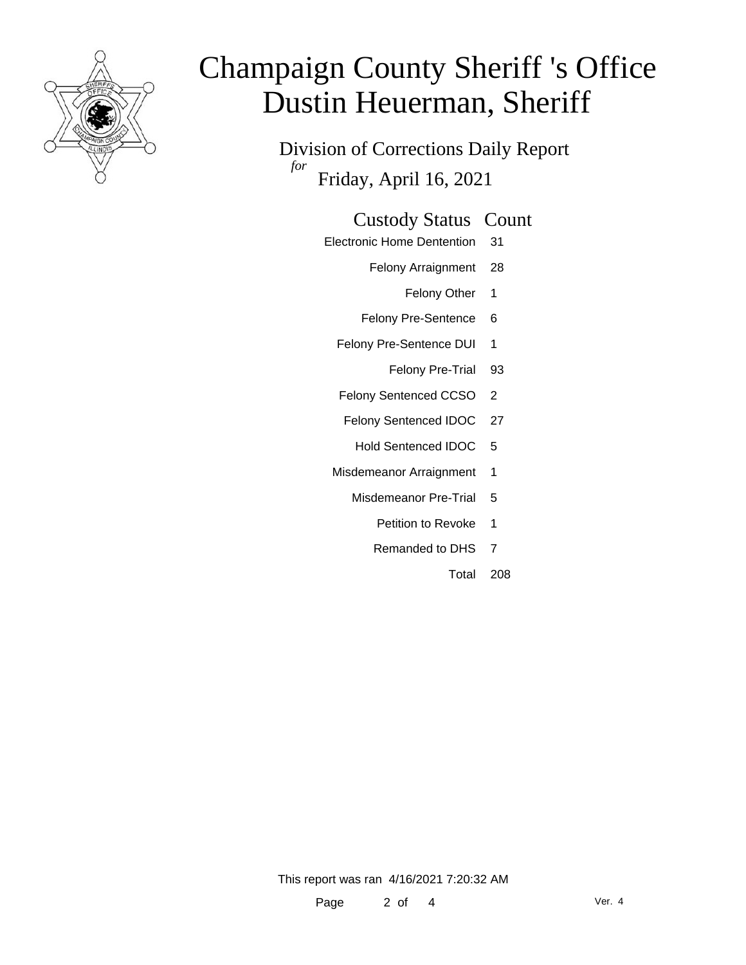

Division of Corrections Daily Report *for* Friday, April 16, 2021

### Custody Status Count

- Electronic Home Dentention 31
	- Felony Arraignment 28
		- Felony Other 1
	- Felony Pre-Sentence 6
	- Felony Pre-Sentence DUI 1
		- Felony Pre-Trial 93
	- Felony Sentenced CCSO 2
	- Felony Sentenced IDOC 27
		- Hold Sentenced IDOC 5
	- Misdemeanor Arraignment 1
		- Misdemeanor Pre-Trial 5
			- Petition to Revoke 1
			- Remanded to DHS 7
				- Total 208

This report was ran 4/16/2021 7:20:32 AM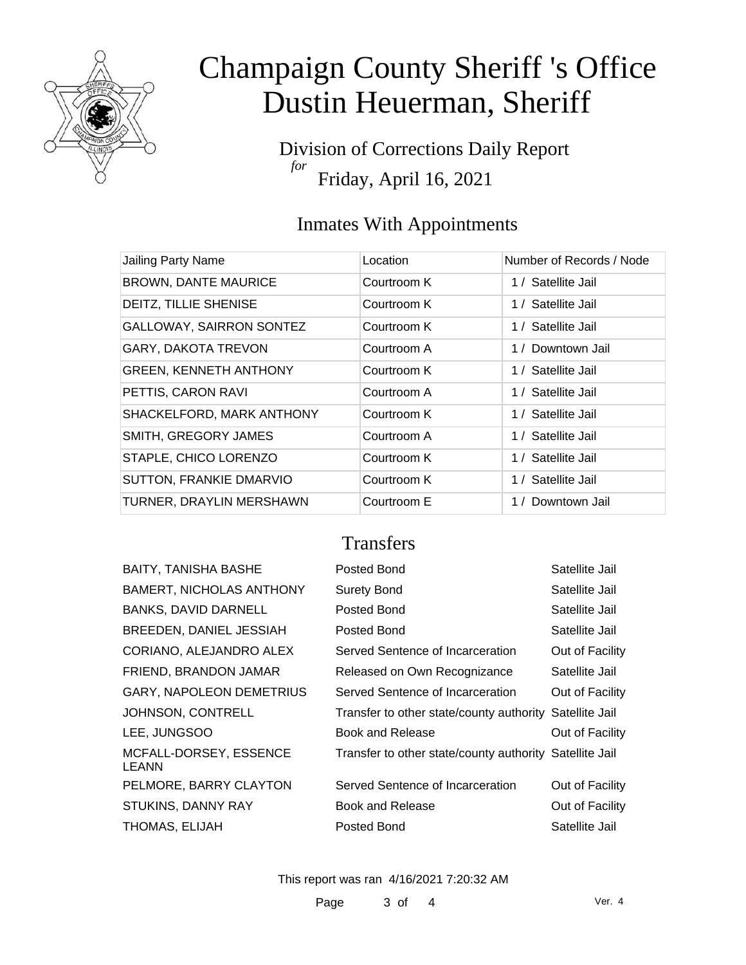

Division of Corrections Daily Report *for* Friday, April 16, 2021

### Inmates With Appointments

| Jailing Party Name             | Location    | Number of Records / Node |
|--------------------------------|-------------|--------------------------|
| <b>BROWN, DANTE MAURICE</b>    | Courtroom K | 1 / Satellite Jail       |
| DEITZ, TILLIE SHENISE          | Courtroom K | 1 / Satellite Jail       |
| GALLOWAY, SAIRRON SONTEZ       | Courtroom K | 1 / Satellite Jail       |
| GARY, DAKOTA TREVON            | Courtroom A | 1 / Downtown Jail        |
| <b>GREEN, KENNETH ANTHONY</b>  | Courtroom K | 1 / Satellite Jail       |
| PETTIS, CARON RAVI             | Courtroom A | 1 / Satellite Jail       |
| SHACKELFORD, MARK ANTHONY      | Courtroom K | 1 / Satellite Jail       |
| SMITH, GREGORY JAMES           | Courtroom A | 1 / Satellite Jail       |
| STAPLE, CHICO LORENZO          | Courtroom K | 1 / Satellite Jail       |
| <b>SUTTON, FRANKIE DMARVIO</b> | Courtroom K | 1 / Satellite Jail       |
| TURNER, DRAYLIN MERSHAWN       | Courtroom E | 1 / Downtown Jail        |

### **Transfers**

| <b>BAITY, TANISHA BASHE</b>     | Posted Bond                                             | Satellite Jail  |
|---------------------------------|---------------------------------------------------------|-----------------|
| <b>BAMERT, NICHOLAS ANTHONY</b> | <b>Surety Bond</b>                                      | Satellite Jail  |
| <b>BANKS, DAVID DARNELL</b>     | Posted Bond                                             | Satellite Jail  |
| BREEDEN, DANIEL JESSIAH         | Posted Bond                                             | Satellite Jail  |
| CORIANO, ALEJANDRO ALEX         | Served Sentence of Incarceration                        | Out of Facility |
| FRIEND, BRANDON JAMAR           | Released on Own Recognizance                            | Satellite Jail  |
| <b>GARY, NAPOLEON DEMETRIUS</b> | Served Sentence of Incarceration                        | Out of Facility |
| JOHNSON, CONTRELL               | Transfer to other state/county authority                | Satellite Jail  |
| LEE, JUNGSOO                    | Book and Release                                        | Out of Facility |
| MCFALL-DORSEY, ESSENCE<br>LEANN | Transfer to other state/county authority Satellite Jail |                 |
| PELMORE, BARRY CLAYTON          | Served Sentence of Incarceration                        | Out of Facility |
| <b>STUKINS, DANNY RAY</b>       | Book and Release                                        | Out of Facility |
| THOMAS, ELIJAH                  | Posted Bond                                             | Satellite Jail  |
|                                 |                                                         |                 |